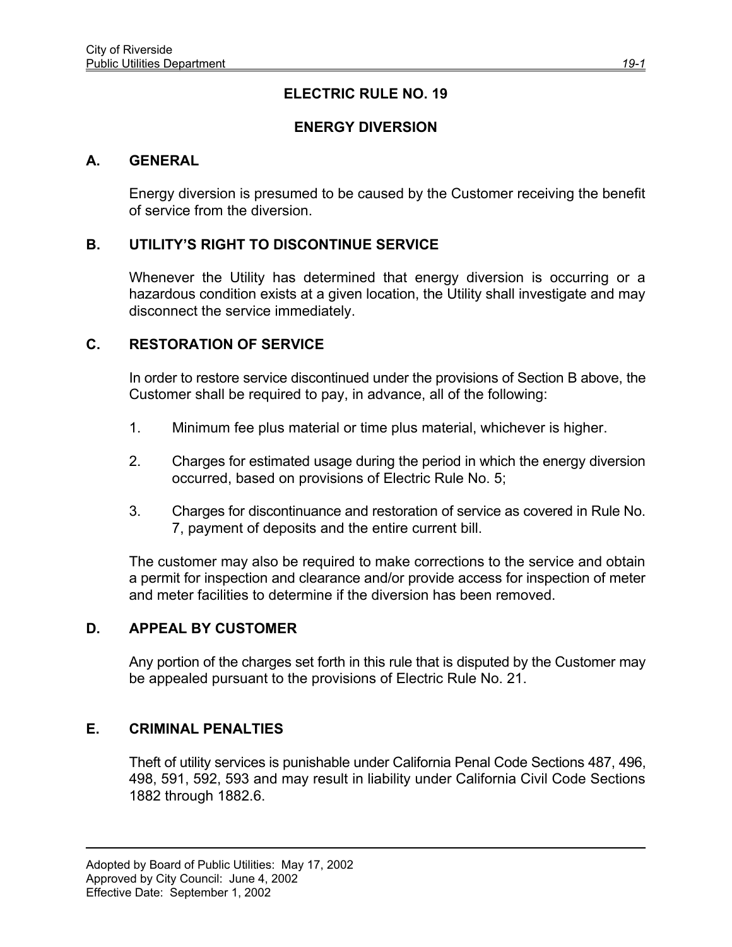# **ELECTRIC RULE NO. 19**

# **ENERGY DIVERSION**

### **A. GENERAL**

Energy diversion is presumed to be caused by the Customer receiving the benefit of service from the diversion.

### **B. UTILITY'S RIGHT TO DISCONTINUE SERVICE**

Whenever the Utility has determined that energy diversion is occurring or a hazardous condition exists at a given location, the Utility shall investigate and may disconnect the service immediately.

#### **C. RESTORATION OF SERVICE**

In order to restore service discontinued under the provisions of Section B above, the Customer shall be required to pay, in advance, all of the following:

- 1. Minimum fee plus material or time plus material, whichever is higher.
- 2. Charges for estimated usage during the period in which the energy diversion occurred, based on provisions of Electric Rule No. 5;
- 3. Charges for discontinuance and restoration of service as covered in Rule No. 7, payment of deposits and the entire current bill.

The customer may also be required to make corrections to the service and obtain a permit for inspection and clearance and/or provide access for inspection of meter and meter facilities to determine if the diversion has been removed.

#### **D. APPEAL BY CUSTOMER**

Any portion of the charges set forth in this rule that is disputed by the Customer may be appealed pursuant to the provisions of Electric Rule No. 21.

### **E. CRIMINAL PENALTIES**

Theft of utility services is punishable under California Penal Code Sections 487, 496, 498, 591, 592, 593 and may result in liability under California Civil Code Sections 1882 through 1882.6.